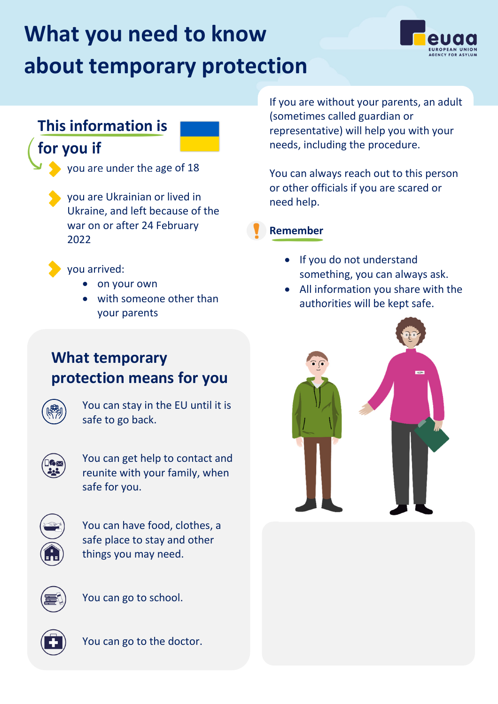# **What you need to know about temporary protection**



#### **This information is**

### **for you if**



• you are Ukrainian or lived in Ukraine, and left because of the war on or after 24 February 2022

• you arrived:

- on your own
- with someone other than your parents

If you are without your parents, an adult (sometimes called guardian or representative) will help you with your needs, including the procedure.

You can always reach out to this person or other officials if you are scared or need help.



- If you do not understand something, you can always ask.
- All information you share with the authorities will be kept safe.

## **What temporary protection means for you**



You can stay in the EU until it is safe to go back.



You can get help to contact and reunite with your family, when safe for you.



You can have food, clothes, a safe place to stay and other things you may need.



You can go to school.



You can go to the doctor.